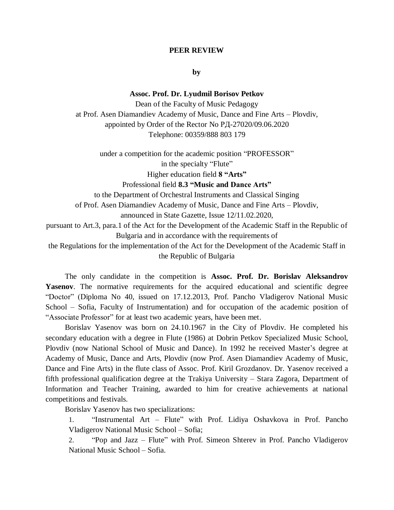#### **PEER REVIEW**

**by**

## **Assoc. Prof. Dr. Lyudmil Borisov Petkov**

Dean of the Faculty of Music Pedagogy at Prof. Asen Diamandiev Academy of Music, Dance and Fine Arts – Plovdiv, appointed by Order of the Rector No РД-27020/09.06.2020 Telephone: 00359/888 803 179

under a competition for the academic position "PROFESSOR" in the specialty "Flute" Higher education field **8 "Arts"** Professional field **8.3 "Music and Dance Arts"** to the Department of Orchestral Instruments and Classical Singing of Prof. Asen Diamandiev Academy of Music, Dance and Fine Arts – Plovdiv, announced in State Gazette, Issue 12/11.02.2020, pursuant to Art.3, para.1 of the Act for the Development of the Academic Staff in the Republic of Bulgaria and in accordance with the requirements of the Regulations for the implementation of the Act for the Development of the Academic Staff in

the Republic of Bulgaria

The only candidate in the competition is **Assoc. Prof. Dr. Borislav Aleksandrov**  Yasenov. The normative requirements for the acquired educational and scientific degree "Doctor" (Diploma No 40, issued on 17.12.2013, Prof. Pancho Vladigerov National Music School – Sofia, Faculty of Instrumentation) and for occupation of the academic position of "Associate Professor" for at least two academic years, have been met.

Borislav Yasenov was born on 24.10.1967 in the City of Plovdiv. He completed his secondary education with a degree in Flute (1986) at Dobrin Petkov Specialized Music School, Plovdiv (now National School of Music and Dance). In 1992 he received Master's degree at Academy of Music, Dance and Arts, Plovdiv (now Prof. Asen Diamandiev Academy of Music, Dance and Fine Arts) in the flute class of Assoc. Prof. Kiril Grozdanov. Dr. Yasenov received a fifth professional qualification degree at the Trakiya University – Stara Zagora, Department of Information and Teacher Training, awarded to him for creative achievements at national competitions and festivals.

Borislav Yasenov has two specializations:

1. "Instrumental Art – Flute" with Prof. Lidiya Oshavkova in Prof. Pancho Vladigerov National Music School – Sofia;

2. "Pop and Jazz – Flute" with Prof. Simeon Shterev in Prof. Pancho Vladigerov National Music School – Sofia.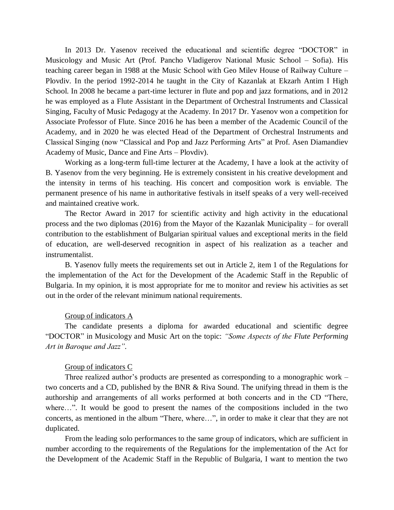In 2013 Dr. Yasenov received the educational and scientific degree "DOCTOR" in Musicology and Music Art (Prof. Pancho Vladigerov National Music School – Sofia). His teaching career began in 1988 at the Music School with Geo Milev House of Railway Culture – Plovdiv. In the period 1992-2014 he taught in the City of Kazanlak at Ekzarh Antim I High School. In 2008 he became a part-time lecturer in flute and pop and jazz formations, and in 2012 he was employed as a Flute Assistant in the Department of Orchestral Instruments and Classical Singing, Faculty of Music Pedagogy at the Academy. In 2017 Dr. Yasenov won a competition for Associate Professor of Flute. Since 2016 he has been a member of the Academic Council of the Academy, and in 2020 he was elected Head of the Department of Orchestral Instruments and Classical Singing (now "Classical and Pop and Jazz Performing Arts" at Prof. Asen Diamandiev Academy of Music, Dance and Fine Arts – Plovdiv).

Working as a long-term full-time lecturer at the Academy, I have a look at the activity of B. Yasenov from the very beginning. He is extremely consistent in his creative development and the intensity in terms of his teaching. His concert and composition work is enviable. The permanent presence of his name in authoritative festivals in itself speaks of a very well-received and maintained creative work.

The Rector Award in 2017 for scientific activity and high activity in the educational process and the two diplomas (2016) from the Mayor of the Kazanlak Municipality – for overall contribution to the establishment of Bulgarian spiritual values and exceptional merits in the field of education, are well-deserved recognition in aspect of his realization as a teacher and instrumentalist.

B. Yasenov fully meets the requirements set out in Article 2, item 1 of the Regulations for the implementation of the Act for the Development of the Academic Staff in the Republic of Bulgaria. In my opinion, it is most appropriate for me to monitor and review his activities as set out in the order of the relevant minimum national requirements.

### Group of indicators А

The candidate presents a diploma for awarded educational and scientific degree "DOCTOR" in Musicology and Music Art on the topic: *"Some Aspects of the Flute Performing Art in Baroque and Jazz".*

### Group of indicators C

Three realized author's products are presented as corresponding to a monographic work – two concerts and a CD, published by the BNR & Riva Sound. The unifying thread in them is the authorship and arrangements of all works performed at both concerts and in the CD "There, where…". It would be good to present the names of the compositions included in the two concerts, as mentioned in the album "There, where…", in order to make it clear that they are not duplicated.

From the leading solo performances to the same group of indicators, which are sufficient in number according to the requirements of the Regulations for the implementation of the Act for the Development of the Academic Staff in the Republic of Bulgaria, I want to mention the two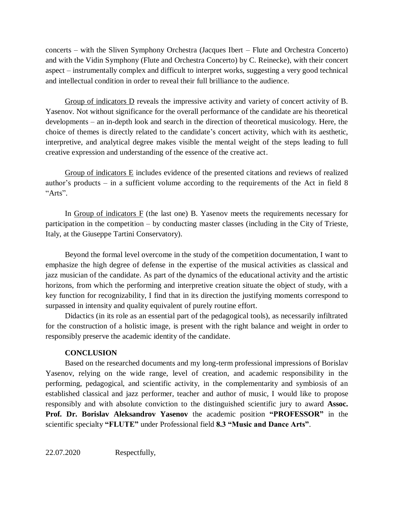concerts – with the Sliven Symphony Orchestra (Jacques Ibert – Flute and Orchestra Concerto) and with the Vidin Symphony (Flute and Orchestra Concerto) by C. Reinecke), with their concert aspect – instrumentally complex and difficult to interpret works, suggesting a very good technical and intellectual condition in order to reveal their full brilliance to the audience.

Group of indicators D reveals the impressive activity and variety of concert activity of B. Yasenov. Not without significance for the overall performance of the candidate are his theoretical developments – an in-depth look and search in the direction of theoretical musicology. Here, the choice of themes is directly related to the candidate's concert activity, which with its aesthetic, interpretive, and analytical degree makes visible the mental weight of the steps leading to full creative expression and understanding of the essence of the creative act.

Group of indicators E includes evidence of the presented citations and reviews of realized author's products – in a sufficient volume according to the requirements of the Act in field 8 "Arts".

In Group of indicators F (the last one) B. Yasenov meets the requirements necessary for participation in the competition – by conducting master classes (including in the City of Trieste, Italy, at the Giuseppe Tartini Conservatory).

Beyond the formal level overcome in the study of the competition documentation, I want to emphasize the high degree of defense in the expertise of the musical activities as classical and jazz musician of the candidate. As part of the dynamics of the educational activity and the artistic horizons, from which the performing and interpretive creation situate the object of study, with a key function for recognizability, I find that in its direction the justifying moments correspond to surpassed in intensity and quality equivalent of purely routine effort.

Didactics (in its role as an essential part of the pedagogical tools), as necessarily infiltrated for the construction of a holistic image, is present with the right balance and weight in order to responsibly preserve the academic identity of the candidate.

# **CONCLUSION**

Based on the researched documents and my long-term professional impressions of Borislav Yasenov, relying on the wide range, level of creation, and academic responsibility in the performing, pedagogical, and scientific activity, in the complementarity and symbiosis of an established classical and jazz performer, teacher and author of music, I would like to propose responsibly and with absolute conviction to the distinguished scientific jury to award **Assoc. Prof. Dr. Borislav Aleksandrov Yasenov** the academic position **"PROFESSOR"** in the scientific specialty **"FLUTE"** under Professional field **8.3 "Music and Dance Arts"**.